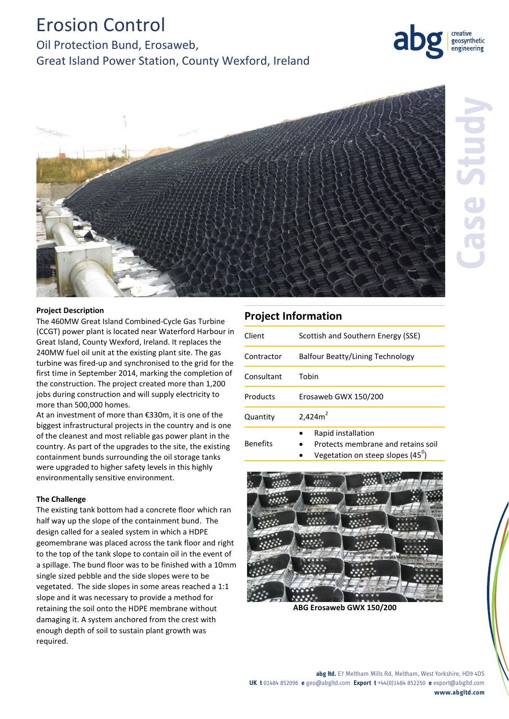# Erosion Control

# Oil Protection Bund, Erosaweb, Great Island Power Station, County Wexford, Ireland





#### **Project Description**

The 460MW Great Island Combined-Cycle Gas Turbine (CCGT) power plant is located near Waterford Harbour in Great Island, County Wexford, Ireland. It replaces the 240MW fuel oil unit at the existing plant site. The gas turbine was fired-up and synchronised to the grid for the first time in September 2014, marking the completion of the construction. The project created more than 1,200 jobs during construction and will supply electricity to more than 500,000 homes.

At an investment of more than €330m, it is one of the biggest infrastructural projects in the country and is one of the cleanest and most reliable gas power plant in the country. As part of the upgrades to the site, the existing containment bunds surrounding the oil storage tanks were upgraded to higher safety levels in this highly environmentally sensitive environment.

#### **The Challenge**

The existing tank bottom had a concrete floor which ran half way up the slope of the containment bund. The design called for a sealed system in which a HDPE geomembrane was placed across the tank floor and right to the top of the tank slope to contain oil in the event of a spillage. The bund floor was to be finished with a 10mm single sized pebble and the side slopes were to be vegetated. The side slopes in some areas reached a 1:1 slope and it was necessary to provide a method for retaining the soil onto the HDPE membrane without damaging it. A system anchored from the crest with enough depth of soil to sustain plant growth was required.

## **Project Information**

| Client          | Scottish and Southern Energy (SSE)                                                                    |
|-----------------|-------------------------------------------------------------------------------------------------------|
| Contractor      | <b>Balfour Beatty/Lining Technology</b>                                                               |
| Consultant      | Tobin                                                                                                 |
| Products        | Erosaweb GWX 150/200                                                                                  |
| Quantity        | 2,424m <sup>2</sup>                                                                                   |
| <b>Benefits</b> | Rapid installation<br>Protects membrane and retains soil<br>Vegetation on steep slopes $(45^{\circ})$ |



**ABG Erosaweb GWX 150/200**